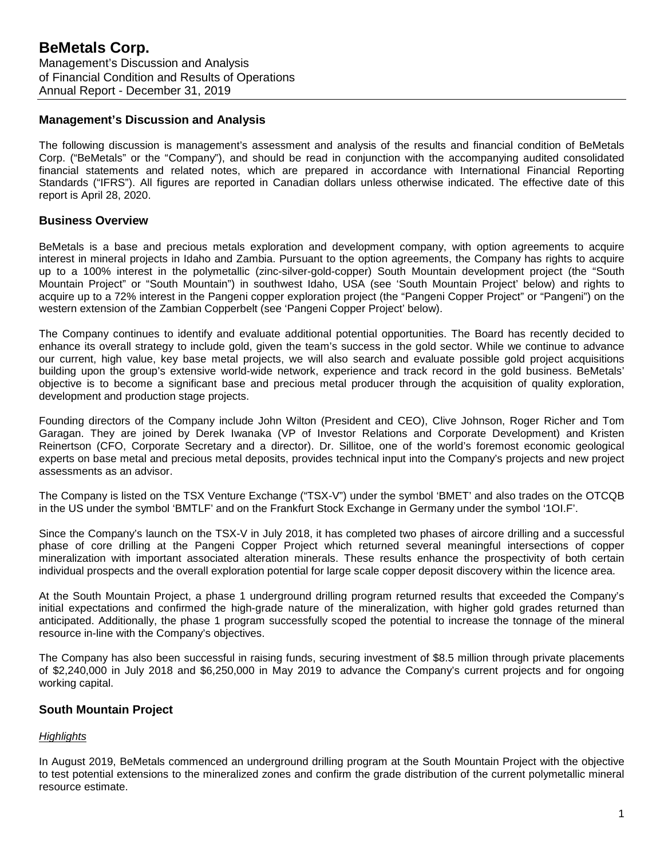# **Management's Discussion and Analysis**

The following discussion is management's assessment and analysis of the results and financial condition of BeMetals Corp. ("BeMetals" or the "Company"), and should be read in conjunction with the accompanying audited consolidated financial statements and related notes, which are prepared in accordance with International Financial Reporting Standards ("IFRS"). All figures are reported in Canadian dollars unless otherwise indicated. The effective date of this report is April 28, 2020.

# **Business Overview**

BeMetals is a base and precious metals exploration and development company, with option agreements to acquire interest in mineral projects in Idaho and Zambia. Pursuant to the option agreements, the Company has rights to acquire up to a 100% interest in the polymetallic (zinc-silver-gold-copper) South Mountain development project (the "South Mountain Project" or "South Mountain") in southwest Idaho, USA (see 'South Mountain Project' below) and rights to acquire up to a 72% interest in the Pangeni copper exploration project (the "Pangeni Copper Project" or "Pangeni") on the western extension of the Zambian Copperbelt (see 'Pangeni Copper Project' below).

The Company continues to identify and evaluate additional potential opportunities. The Board has recently decided to enhance its overall strategy to include gold, given the team's success in the gold sector. While we continue to advance our current, high value, key base metal projects, we will also search and evaluate possible gold project acquisitions building upon the group's extensive world-wide network, experience and track record in the gold business. BeMetals' objective is to become a significant base and precious metal producer through the acquisition of quality exploration, development and production stage projects.

Founding directors of the Company include John Wilton (President and CEO), Clive Johnson, Roger Richer and Tom Garagan. They are joined by Derek Iwanaka (VP of Investor Relations and Corporate Development) and Kristen Reinertson (CFO, Corporate Secretary and a director). Dr. Sillitoe, one of the world's foremost economic geological experts on base metal and precious metal deposits, provides technical input into the Company's projects and new project assessments as an advisor.

The Company is listed on the TSX Venture Exchange ("TSX-V") under the symbol 'BMET' and also trades on the OTCQB in the US under the symbol 'BMTLF' and on the Frankfurt Stock Exchange in Germany under the symbol '1OI.F'.

Since the Company's launch on the TSX-V in July 2018, it has completed two phases of aircore drilling and a successful phase of core drilling at the Pangeni Copper Project which returned several meaningful intersections of copper mineralization with important associated alteration minerals. These results enhance the prospectivity of both certain individual prospects and the overall exploration potential for large scale copper deposit discovery within the licence area.

At the South Mountain Project, a phase 1 underground drilling program returned results that exceeded the Company's initial expectations and confirmed the high-grade nature of the mineralization, with higher gold grades returned than anticipated. Additionally, the phase 1 program successfully scoped the potential to increase the tonnage of the mineral resource in-line with the Company's objectives.

The Company has also been successful in raising funds, securing investment of \$8.5 million through private placements of \$2,240,000 in July 2018 and \$6,250,000 in May 2019 to advance the Company's current projects and for ongoing working capital.

# **South Mountain Project**

# *Highlights*

In August 2019, BeMetals commenced an underground drilling program at the South Mountain Project with the objective to test potential extensions to the mineralized zones and confirm the grade distribution of the current polymetallic mineral resource estimate.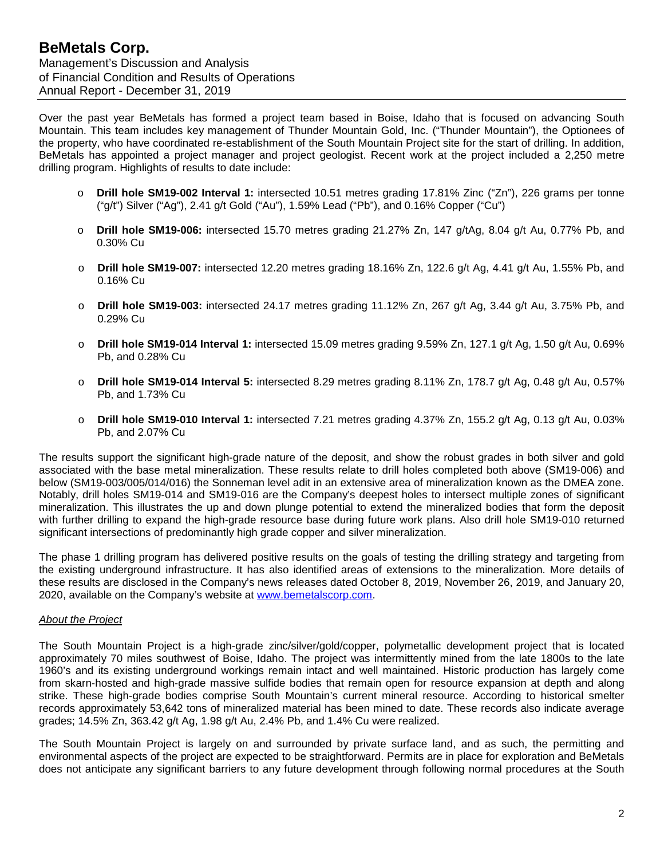Over the past year BeMetals has formed a project team based in Boise, Idaho that is focused on advancing South Mountain. This team includes key management of Thunder Mountain Gold, Inc. ("Thunder Mountain"), the Optionees of the property, who have coordinated re-establishment of the South Mountain Project site for the start of drilling. In addition, BeMetals has appointed a project manager and project geologist. Recent work at the project included a 2,250 metre drilling program. Highlights of results to date include:

- o **Drill hole SM19-002 Interval 1:** intersected 10.51 metres grading 17.81% Zinc ("Zn"), 226 grams per tonne ("g/t") Silver ("Ag"), 2.41 g/t Gold ("Au"), 1.59% Lead ("Pb"), and 0.16% Copper ("Cu")
- o **Drill hole SM19-006:** intersected 15.70 metres grading 21.27% Zn, 147 g/tAg, 8.04 g/t Au, 0.77% Pb, and 0.30% Cu
- o **Drill hole SM19-007:** intersected 12.20 metres grading 18.16% Zn, 122.6 g/t Ag, 4.41 g/t Au, 1.55% Pb, and 0.16% Cu
- o **Drill hole SM19-003:** intersected 24.17 metres grading 11.12% Zn, 267 g/t Ag, 3.44 g/t Au, 3.75% Pb, and 0.29% Cu
- o **Drill hole SM19-014 Interval 1:** intersected 15.09 metres grading 9.59% Zn, 127.1 g/t Ag, 1.50 g/t Au, 0.69% Pb, and 0.28% Cu
- o **Drill hole SM19-014 Interval 5:** intersected 8.29 metres grading 8.11% Zn, 178.7 g/t Ag, 0.48 g/t Au, 0.57% Pb, and 1.73% Cu
- o **Drill hole SM19-010 Interval 1:** intersected 7.21 metres grading 4.37% Zn, 155.2 g/t Ag, 0.13 g/t Au, 0.03% Pb, and 2.07% Cu

The results support the significant high-grade nature of the deposit, and show the robust grades in both silver and gold associated with the base metal mineralization. These results relate to drill holes completed both above (SM19-006) and below (SM19-003/005/014/016) the Sonneman level adit in an extensive area of mineralization known as the DMEA zone. Notably, drill holes SM19-014 and SM19-016 are the Company's deepest holes to intersect multiple zones of significant mineralization. This illustrates the up and down plunge potential to extend the mineralized bodies that form the deposit with further drilling to expand the high-grade resource base during future work plans. Also drill hole SM19-010 returned significant intersections of predominantly high grade copper and silver mineralization.

The phase 1 drilling program has delivered positive results on the goals of testing the drilling strategy and targeting from the existing underground infrastructure. It has also identified areas of extensions to the mineralization. More details of these results are disclosed in the Company's news releases dated October 8, 2019, November 26, 2019, and January 20, 2020, available on the Company's website at [www.bemetalscorp.com.](http://www.bemetalscorp.com/)

# *About the Project*

The South Mountain Project is a high-grade zinc/silver/gold/copper, polymetallic development project that is located approximately 70 miles southwest of Boise, Idaho. The project was intermittently mined from the late 1800s to the late 1960's and its existing underground workings remain intact and well maintained. Historic production has largely come from skarn-hosted and high-grade massive sulfide bodies that remain open for resource expansion at depth and along strike. These high-grade bodies comprise South Mountain's current mineral resource. According to historical smelter records approximately 53,642 tons of mineralized material has been mined to date. These records also indicate average grades; 14.5% Zn, 363.42 g/t Ag, 1.98 g/t Au, 2.4% Pb, and 1.4% Cu were realized.

The South Mountain Project is largely on and surrounded by private surface land, and as such, the permitting and environmental aspects of the project are expected to be straightforward. Permits are in place for exploration and BeMetals does not anticipate any significant barriers to any future development through following normal procedures at the South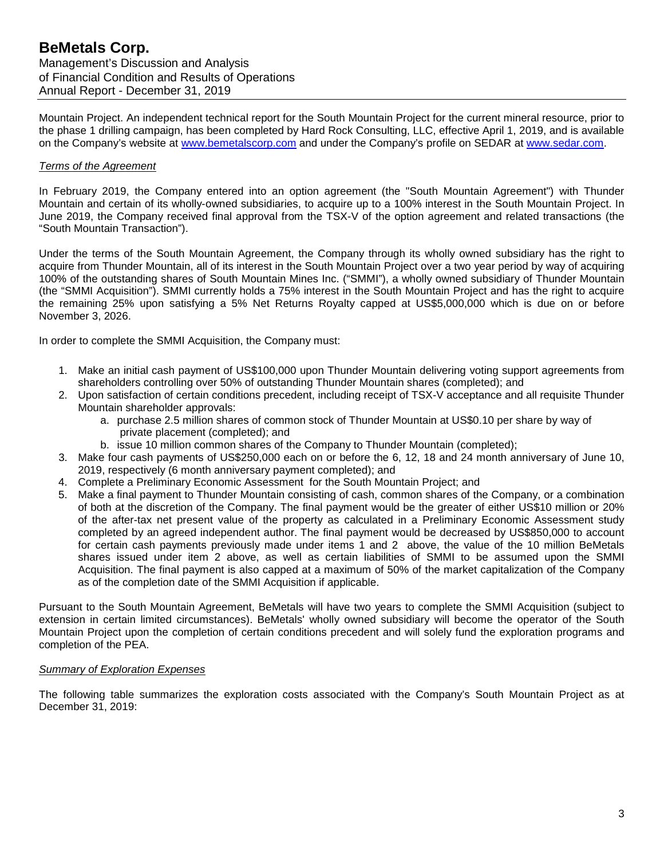Mountain Project. An independent technical report for the South Mountain Project for the current mineral resource, prior to the phase 1 drilling campaign, has been completed by Hard Rock Consulting, LLC, effective April 1, 2019, and is available on the Company's website at [www.bemetalscorp.com](http://www.bemetalscorp.com/) and under the Company's profile on SEDAR at [www.sedar.com.](http://www.sedar.com/)

# *Terms of the Agreement*

In February 2019, the Company entered into an option agreement (the "South Mountain Agreement") with Thunder Mountain and certain of its wholly-owned subsidiaries, to acquire up to a 100% interest in the South Mountain Project. In June 2019, the Company received final approval from the TSX-V of the option agreement and related transactions (the "South Mountain Transaction").

Under the terms of the South Mountain Agreement, the Company through its wholly owned subsidiary has the right to acquire from Thunder Mountain, all of its interest in the South Mountain Project over a two year period by way of acquiring 100% of the outstanding shares of South Mountain Mines Inc. ("SMMI"), a wholly owned subsidiary of Thunder Mountain (the "SMMI Acquisition"). SMMI currently holds a 75% interest in the South Mountain Project and has the right to acquire the remaining 25% upon satisfying a 5% Net Returns Royalty capped at US\$5,000,000 which is due on or before November 3, 2026.

In order to complete the SMMI Acquisition, the Company must:

- 1. Make an initial cash payment of US\$100,000 upon Thunder Mountain delivering voting support agreements from shareholders controlling over 50% of outstanding Thunder Mountain shares (completed); and
- 2. Upon satisfaction of certain conditions precedent, including receipt of TSX-V acceptance and all requisite Thunder Mountain shareholder approvals:
	- a. purchase 2.5 million shares of common stock of Thunder Mountain at US\$0.10 per share by way of private placement (completed); and
	- b. issue 10 million common shares of the Company to Thunder Mountain (completed);
- 3. Make four cash payments of US\$250,000 each on or before the 6, 12, 18 and 24 month anniversary of June 10, 2019, respectively (6 month anniversary payment completed); and
- 4. Complete a Preliminary Economic Assessment for the South Mountain Project; and
- 5. Make a final payment to Thunder Mountain consisting of cash, common shares of the Company, or a combination of both at the discretion of the Company. The final payment would be the greater of either US\$10 million or 20% of the after-tax net present value of the property as calculated in a Preliminary Economic Assessment study completed by an agreed independent author. The final payment would be decreased by US\$850,000 to account for certain cash payments previously made under items 1 and 2 above, the value of the 10 million BeMetals shares issued under item 2 above, as well as certain liabilities of SMMI to be assumed upon the SMMI Acquisition. The final payment is also capped at a maximum of 50% of the market capitalization of the Company as of the completion date of the SMMI Acquisition if applicable.

Pursuant to the South Mountain Agreement, BeMetals will have two years to complete the SMMI Acquisition (subject to extension in certain limited circumstances). BeMetals' wholly owned subsidiary will become the operator of the South Mountain Project upon the completion of certain conditions precedent and will solely fund the exploration programs and completion of the PEA.

#### *Summary of Exploration Expenses*

The following table summarizes the exploration costs associated with the Company's South Mountain Project as at December 31, 2019: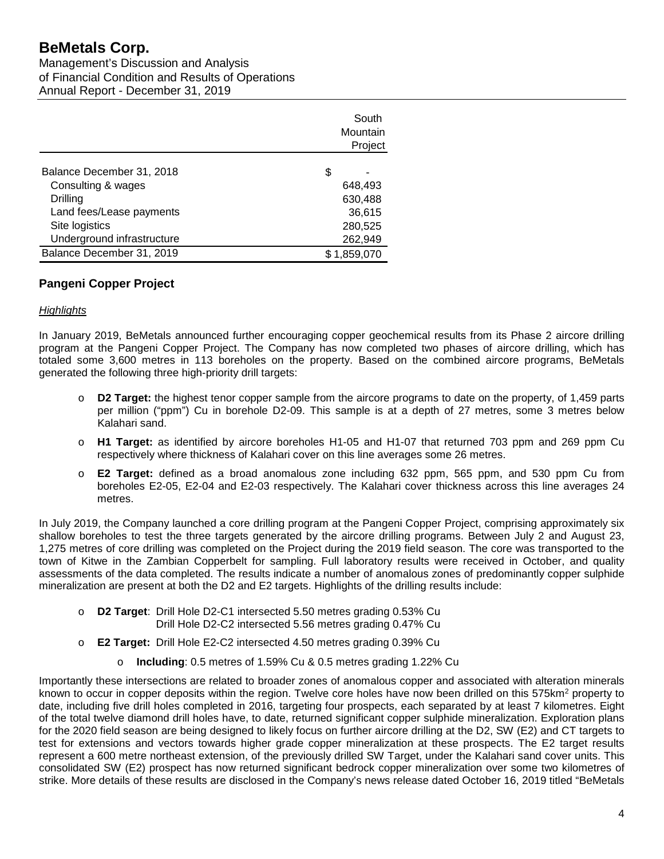# **BeMetals Corp.**

Management's Discussion and Analysis of Financial Condition and Results of Operations Annual Report - December 31, 2019

|                            | Mountain    | South   |
|----------------------------|-------------|---------|
|                            |             | Project |
| Balance December 31, 2018  | S           |         |
| Consulting & wages         | 648,493     |         |
| Drilling                   | 630,488     |         |
| Land fees/Lease payments   | 36,615      |         |
| Site logistics             | 280,525     |         |
| Underground infrastructure | 262,949     |         |
| Balance December 31, 2019  | \$1,859,070 |         |

# **Pangeni Copper Project**

### *Highlights*

In January 2019, BeMetals announced further encouraging copper geochemical results from its Phase 2 aircore drilling program at the Pangeni Copper Project. The Company has now completed two phases of aircore drilling, which has totaled some 3,600 metres in 113 boreholes on the property. Based on the combined aircore programs, BeMetals generated the following three high-priority drill targets:

- o **D2 Target:** the highest tenor copper sample from the aircore programs to date on the property, of 1,459 parts per million ("ppm") Cu in borehole D2-09. This sample is at a depth of 27 metres, some 3 metres below Kalahari sand.
- o **H1 Target:** as identified by aircore boreholes H1-05 and H1-07 that returned 703 ppm and 269 ppm Cu respectively where thickness of Kalahari cover on this line averages some 26 metres.
- o **E2 Target:** defined as a broad anomalous zone including 632 ppm, 565 ppm, and 530 ppm Cu from boreholes E2-05, E2-04 and E2-03 respectively. The Kalahari cover thickness across this line averages 24 metres.

In July 2019, the Company launched a core drilling program at the Pangeni Copper Project, comprising approximately six shallow boreholes to test the three targets generated by the aircore drilling programs. Between July 2 and August 23, 1,275 metres of core drilling was completed on the Project during the 2019 field season. The core was transported to the town of Kitwe in the Zambian Copperbelt for sampling. Full laboratory results were received in October, and quality assessments of the data completed. The results indicate a number of anomalous zones of predominantly copper sulphide mineralization are present at both the D2 and E2 targets. Highlights of the drilling results include:

- o **D2 Target**: Drill Hole D2-C1 intersected 5.50 metres grading 0.53% Cu Drill Hole D2-C2 intersected 5.56 metres grading 0.47% Cu
- o **E2 Target:** Drill Hole E2-C2 intersected 4.50 metres grading 0.39% Cu
	- o **Including**: 0.5 metres of 1.59% Cu & 0.5 metres grading 1.22% Cu

Importantly these intersections are related to broader zones of anomalous copper and associated with alteration minerals known to occur in copper deposits within the region. Twelve core holes have now been drilled on this 575km<sup>2</sup> property to date, including five drill holes completed in 2016, targeting four prospects, each separated by at least 7 kilometres. Eight of the total twelve diamond drill holes have, to date, returned significant copper sulphide mineralization. Exploration plans for the 2020 field season are being designed to likely focus on further aircore drilling at the D2, SW (E2) and CT targets to test for extensions and vectors towards higher grade copper mineralization at these prospects. The E2 target results represent a 600 metre northeast extension, of the previously drilled SW Target, under the Kalahari sand cover units. This consolidated SW (E2) prospect has now returned significant bedrock copper mineralization over some two kilometres of strike. More details of these results are disclosed in the Company's news release dated October 16, 2019 titled "BeMetals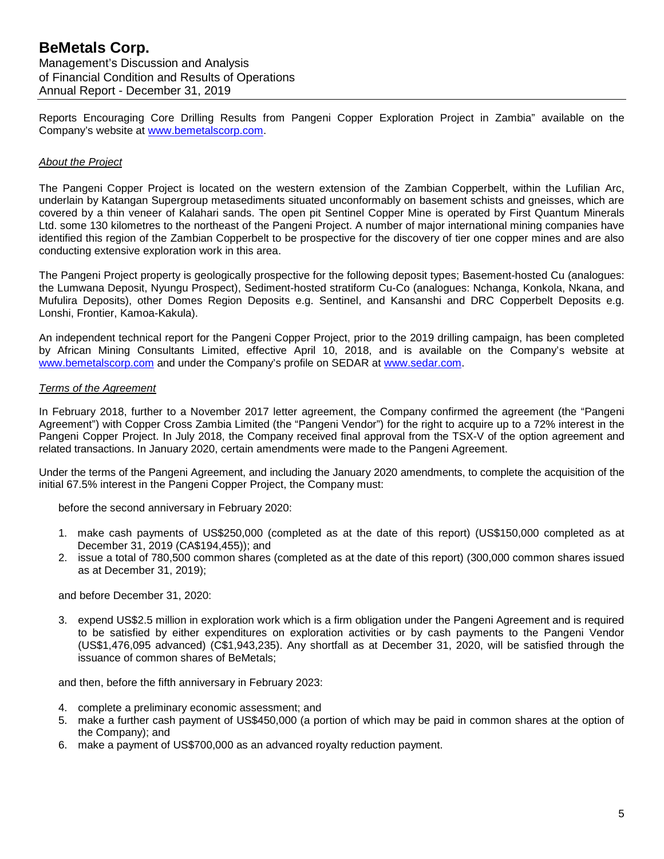Reports Encouraging Core Drilling Results from Pangeni Copper Exploration Project in Zambia" available on the Company's website at [www.bemetalscorp.com.](http://www.bemetalscorp.com/)

### *About the Project*

The Pangeni Copper Project is located on the western extension of the Zambian Copperbelt, within the Lufilian Arc, underlain by Katangan Supergroup metasediments situated unconformably on basement schists and gneisses, which are covered by a thin veneer of Kalahari sands. The open pit Sentinel Copper Mine is operated by First Quantum Minerals Ltd. some 130 kilometres to the northeast of the Pangeni Project. A number of major international mining companies have identified this region of the Zambian Copperbelt to be prospective for the discovery of tier one copper mines and are also conducting extensive exploration work in this area.

The Pangeni Project property is geologically prospective for the following deposit types; Basement-hosted Cu (analogues: the Lumwana Deposit, Nyungu Prospect), Sediment-hosted stratiform Cu-Co (analogues: Nchanga, Konkola, Nkana, and Mufulira Deposits), other Domes Region Deposits e.g. Sentinel, and Kansanshi and DRC Copperbelt Deposits e.g. Lonshi, Frontier, Kamoa-Kakula).

An independent technical report for the Pangeni Copper Project, prior to the 2019 drilling campaign, has been completed by African Mining Consultants Limited, effective April 10, 2018, and is available on the Company's website at [www.bemetalscorp.com](http://www.bemetalscorp.com/) and under the Company's profile on SEDAR at [www.sedar.com.](http://www.sedar.com/)

### *Terms of the Agreement*

In February 2018, further to a November 2017 letter agreement, the Company confirmed the agreement (the "Pangeni Agreement") with Copper Cross Zambia Limited (the "Pangeni Vendor") for the right to acquire up to a 72% interest in the Pangeni Copper Project. In July 2018, the Company received final approval from the TSX-V of the option agreement and related transactions. In January 2020, certain amendments were made to the Pangeni Agreement.

Under the terms of the Pangeni Agreement, and including the January 2020 amendments, to complete the acquisition of the initial 67.5% interest in the Pangeni Copper Project, the Company must:

before the second anniversary in February 2020:

- 1. make cash payments of US\$250,000 (completed as at the date of this report) (US\$150,000 completed as at December 31, 2019 (CA\$194,455)); and
- 2. issue a total of 780,500 common shares (completed as at the date of this report) (300,000 common shares issued as at December 31, 2019);

and before December 31, 2020:

3. expend US\$2.5 million in exploration work which is a firm obligation under the Pangeni Agreement and is required to be satisfied by either expenditures on exploration activities or by cash payments to the Pangeni Vendor (US\$1,476,095 advanced) (C\$1,943,235). Any shortfall as at December 31, 2020, will be satisfied through the issuance of common shares of BeMetals;

and then, before the fifth anniversary in February 2023:

- 4. complete a preliminary economic assessment; and
- 5. make a further cash payment of US\$450,000 (a portion of which may be paid in common shares at the option of the Company); and
- 6. make a payment of US\$700,000 as an advanced royalty reduction payment.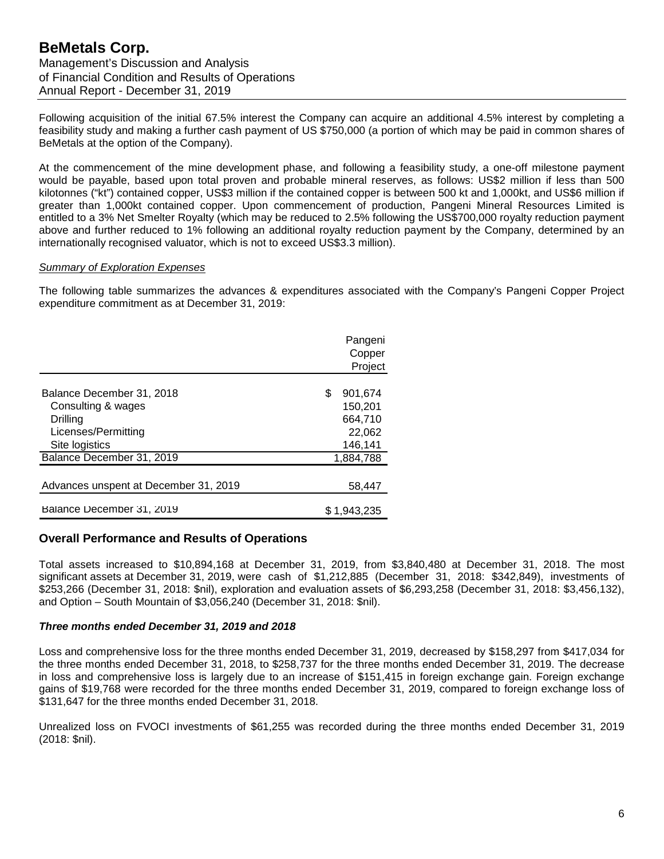Following acquisition of the initial 67.5% interest the Company can acquire an additional 4.5% interest by completing a feasibility study and making a further cash payment of US \$750,000 (a portion of which may be paid in common shares of BeMetals at the option of the Company).

At the commencement of the mine development phase, and following a feasibility study, a one-off milestone payment would be payable, based upon total proven and probable mineral reserves, as follows: US\$2 million if less than 500 kilotonnes ("kt") contained copper, US\$3 million if the contained copper is between 500 kt and 1,000kt, and US\$6 million if greater than 1,000kt contained copper. Upon commencement of production, Pangeni Mineral Resources Limited is entitled to a 3% Net Smelter Royalty (which may be reduced to 2.5% following the US\$700,000 royalty reduction payment above and further reduced to 1% following an additional royalty reduction payment by the Company, determined by an internationally recognised valuator, which is not to exceed US\$3.3 million).

### *Summary of Exploration Expenses*

The following table summarizes the advances & expenditures associated with the Company's Pangeni Copper Project expenditure commitment as at December 31, 2019:

|                                       | Pangeni<br>Copper<br>Project |
|---------------------------------------|------------------------------|
| Balance December 31, 2018             | \$<br>901.674                |
| Consulting & wages                    | 150,201                      |
| Drilling                              | 664,710                      |
| Licenses/Permitting                   | 22,062                       |
| Site logistics                        | 146,141                      |
| Balance December 31, 2019             | 1,884,788                    |
| Advances unspent at December 31, 2019 | 58,447                       |
| Balance December 31, 2019             | \$1.943.235                  |

# **Overall Performance and Results of Operations**

Total assets increased to \$10,894,168 at December 31, 2019, from \$3,840,480 at December 31, 2018. The most significant assets at December 31, 2019, were cash of \$1,212,885 (December 31, 2018: \$342,849), investments of \$253,266 (December 31, 2018: \$nil), exploration and evaluation assets of \$6,293,258 (December 31, 2018: \$3,456,132), and Option – South Mountain of \$3,056,240 (December 31, 2018: \$nil).

# *Three months ended December 31, 2019 and 2018*

Loss and comprehensive loss for the three months ended December 31, 2019, decreased by \$158,297 from \$417,034 for the three months ended December 31, 2018, to \$258,737 for the three months ended December 31, 2019. The decrease in loss and comprehensive loss is largely due to an increase of \$151,415 in foreign exchange gain. Foreign exchange gains of \$19,768 were recorded for the three months ended December 31, 2019, compared to foreign exchange loss of \$131,647 for the three months ended December 31, 2018.

Unrealized loss on FVOCI investments of \$61,255 was recorded during the three months ended December 31, 2019 (2018: \$nil).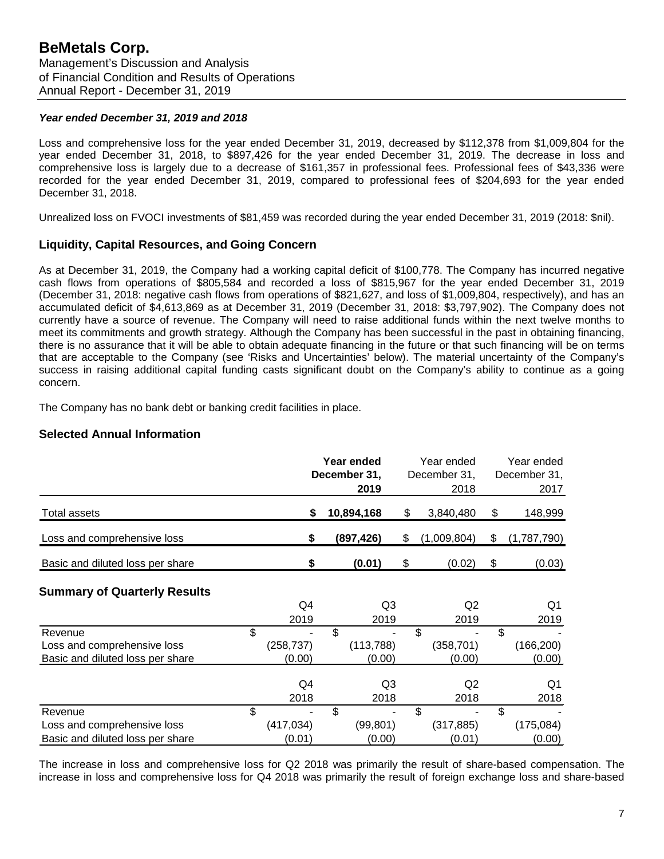### *Year ended December 31, 2019 and 2018*

Loss and comprehensive loss for the year ended December 31, 2019, decreased by \$112,378 from \$1,009,804 for the year ended December 31, 2018, to \$897,426 for the year ended December 31, 2019. The decrease in loss and comprehensive loss is largely due to a decrease of \$161,357 in professional fees. Professional fees of \$43,336 were recorded for the year ended December 31, 2019, compared to professional fees of \$204,693 for the year ended December 31, 2018.

Unrealized loss on FVOCI investments of \$81,459 was recorded during the year ended December 31, 2019 (2018: \$nil).

# **Liquidity, Capital Resources, and Going Concern**

As at December 31, 2019, the Company had a working capital deficit of \$100,778. The Company has incurred negative cash flows from operations of \$805,584 and recorded a loss of \$815,967 for the year ended December 31, 2019 (December 31, 2018: negative cash flows from operations of \$821,627, and loss of \$1,009,804, respectively), and has an accumulated deficit of \$4,613,869 as at December 31, 2019 (December 31, 2018: \$3,797,902). The Company does not currently have a source of revenue. The Company will need to raise additional funds within the next twelve months to meet its commitments and growth strategy. Although the Company has been successful in the past in obtaining financing, there is no assurance that it will be able to obtain adequate financing in the future or that such financing will be on terms that are acceptable to the Company (see 'Risks and Uncertainties' below). The material uncertainty of the Company's success in raising additional capital funding casts significant doubt on the Company's ability to continue as a going concern.

The Company has no bank debt or banking credit facilities in place.

# **Selected Annual Information**

|                                                                            |                            | Year ended<br>December 31,<br>2019 |                     | Year ended<br>December 31,<br>2018 | Year ended<br>December 31,<br>2017 |
|----------------------------------------------------------------------------|----------------------------|------------------------------------|---------------------|------------------------------------|------------------------------------|
| Total assets                                                               | \$                         | 10,894,168                         |                     | \$<br>3,840,480                    | \$<br>148,999                      |
| Loss and comprehensive loss                                                | \$                         | (897, 426)                         |                     | \$<br>(1,009,804)                  | \$<br>(1,787,790)                  |
| Basic and diluted loss per share                                           | \$                         | (0.01)                             |                     | \$<br>(0.02)                       | \$<br>(0.03)                       |
| <b>Summary of Quarterly Results</b>                                        | Q4<br>2019                 |                                    | Q3<br>2019          | Q <sub>2</sub><br>2019             | Q1<br>2019                         |
| Revenue<br>Loss and comprehensive loss<br>Basic and diluted loss per share | \$<br>(258, 737)<br>(0.00) | \$<br>(113, 788)                   | (0.00)              | \$<br>(358, 701)<br>(0.00)         | \$<br>(166, 200)<br>(0.00)         |
|                                                                            | Q4<br>2018                 |                                    | Q3<br>2018          | Q <sub>2</sub><br>2018             | Q1<br>2018                         |
| Revenue<br>Loss and comprehensive loss<br>Basic and diluted loss per share | \$<br>(417, 034)<br>(0.01) | \$                                 | (99, 801)<br>(0.00) | \$<br>(317, 885)<br>(0.01)         | \$<br>(175, 084)<br>(0.00)         |

The increase in loss and comprehensive loss for Q2 2018 was primarily the result of share-based compensation. The increase in loss and comprehensive loss for Q4 2018 was primarily the result of foreign exchange loss and share-based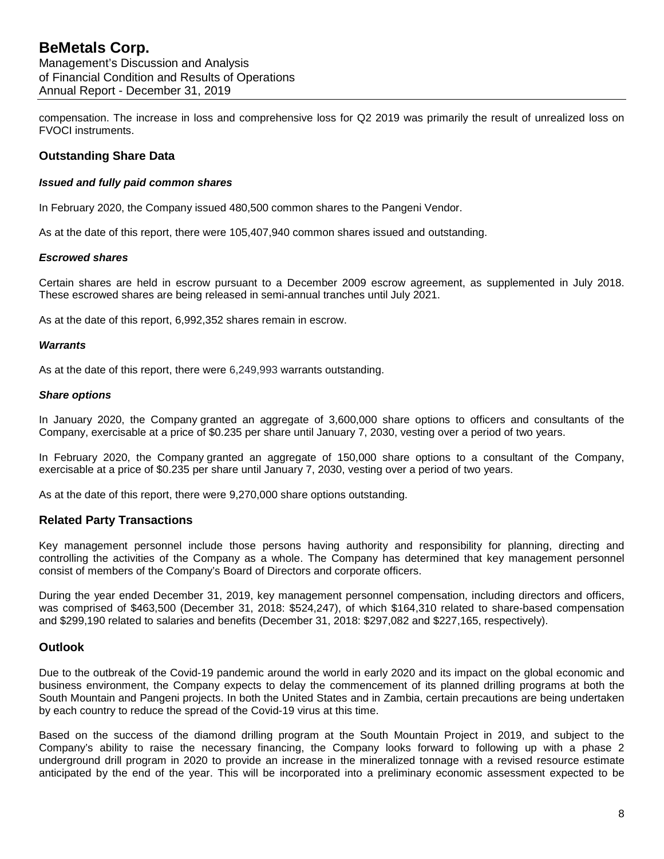compensation. The increase in loss and comprehensive loss for Q2 2019 was primarily the result of unrealized loss on FVOCI instruments.

# **Outstanding Share Data**

#### *Issued and fully paid common shares*

In February 2020, the Company issued 480,500 common shares to the Pangeni Vendor.

As at the date of this report, there were 105,407,940 common shares issued and outstanding.

#### *Escrowed shares*

Certain shares are held in escrow pursuant to a December 2009 escrow agreement, as supplemented in July 2018. These escrowed shares are being released in semi-annual tranches until July 2021.

As at the date of this report, 6,992,352 shares remain in escrow.

#### *Warrants*

As at the date of this report, there were 6,249,993 warrants outstanding.

#### *Share options*

In January 2020, the Company granted an aggregate of 3,600,000 share options to officers and consultants of the Company, exercisable at a price of \$0.235 per share until January 7, 2030, vesting over a period of two years.

In February 2020, the Company granted an aggregate of 150,000 share options to a consultant of the Company, exercisable at a price of \$0.235 per share until January 7, 2030, vesting over a period of two years.

As at the date of this report, there were 9,270,000 share options outstanding.

# **Related Party Transactions**

Key management personnel include those persons having authority and responsibility for planning, directing and controlling the activities of the Company as a whole. The Company has determined that key management personnel consist of members of the Company's Board of Directors and corporate officers.

During the year ended December 31, 2019, key management personnel compensation, including directors and officers, was comprised of \$463,500 (December 31, 2018: \$524,247), of which \$164,310 related to share-based compensation and \$299,190 related to salaries and benefits (December 31, 2018: \$297,082 and \$227,165, respectively).

# **Outlook**

Due to the outbreak of the Covid-19 pandemic around the world in early 2020 and its impact on the global economic and business environment, the Company expects to delay the commencement of its planned drilling programs at both the South Mountain and Pangeni projects. In both the United States and in Zambia, certain precautions are being undertaken by each country to reduce the spread of the Covid-19 virus at this time.

Based on the success of the diamond drilling program at the South Mountain Project in 2019, and subject to the Company's ability to raise the necessary financing, the Company looks forward to following up with a phase 2 underground drill program in 2020 to provide an increase in the mineralized tonnage with a revised resource estimate anticipated by the end of the year. This will be incorporated into a preliminary economic assessment expected to be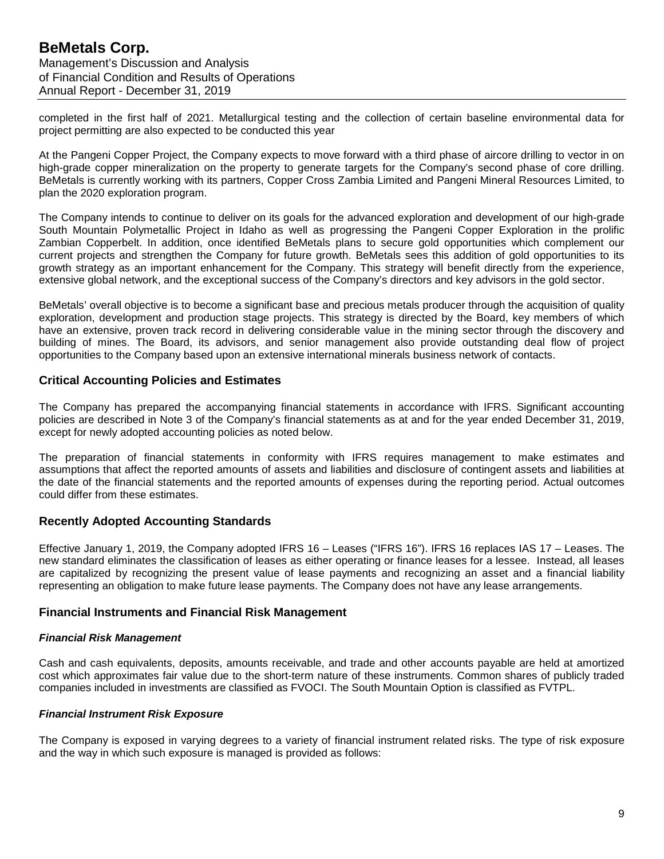completed in the first half of 2021. Metallurgical testing and the collection of certain baseline environmental data for project permitting are also expected to be conducted this year

At the Pangeni Copper Project, the Company expects to move forward with a third phase of aircore drilling to vector in on high-grade copper mineralization on the property to generate targets for the Company's second phase of core drilling. BeMetals is currently working with its partners, Copper Cross Zambia Limited and Pangeni Mineral Resources Limited, to plan the 2020 exploration program.

The Company intends to continue to deliver on its goals for the advanced exploration and development of our high-grade South Mountain Polymetallic Project in Idaho as well as progressing the Pangeni Copper Exploration in the prolific Zambian Copperbelt. In addition, once identified BeMetals plans to secure gold opportunities which complement our current projects and strengthen the Company for future growth. BeMetals sees this addition of gold opportunities to its growth strategy as an important enhancement for the Company. This strategy will benefit directly from the experience, extensive global network, and the exceptional success of the Company's directors and key advisors in the gold sector.

BeMetals' overall objective is to become a significant base and precious metals producer through the acquisition of quality exploration, development and production stage projects. This strategy is directed by the Board, key members of which have an extensive, proven track record in delivering considerable value in the mining sector through the discovery and building of mines. The Board, its advisors, and senior management also provide outstanding deal flow of project opportunities to the Company based upon an extensive international minerals business network of contacts.

# **Critical Accounting Policies and Estimates**

The Company has prepared the accompanying financial statements in accordance with IFRS. Significant accounting policies are described in Note 3 of the Company's financial statements as at and for the year ended December 31, 2019, except for newly adopted accounting policies as noted below.

The preparation of financial statements in conformity with IFRS requires management to make estimates and assumptions that affect the reported amounts of assets and liabilities and disclosure of contingent assets and liabilities at the date of the financial statements and the reported amounts of expenses during the reporting period. Actual outcomes could differ from these estimates.

# **Recently Adopted Accounting Standards**

Effective January 1, 2019, the Company adopted IFRS 16 – Leases ("IFRS 16"). IFRS 16 replaces IAS 17 – Leases. The new standard eliminates the classification of leases as either operating or finance leases for a lessee. Instead, all leases are capitalized by recognizing the present value of lease payments and recognizing an asset and a financial liability representing an obligation to make future lease payments. The Company does not have any lease arrangements.

# **Financial Instruments and Financial Risk Management**

# *Financial Risk Management*

Cash and cash equivalents, deposits, amounts receivable, and trade and other accounts payable are held at amortized cost which approximates fair value due to the short-term nature of these instruments. Common shares of publicly traded companies included in investments are classified as FVOCI. The South Mountain Option is classified as FVTPL.

# *Financial Instrument Risk Exposure*

The Company is exposed in varying degrees to a variety of financial instrument related risks. The type of risk exposure and the way in which such exposure is managed is provided as follows: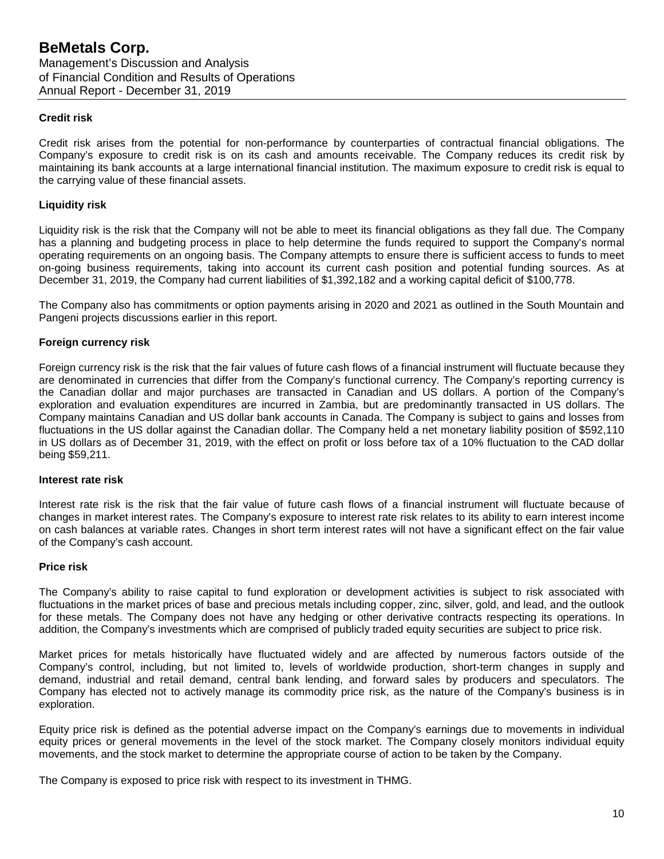### **Credit risk**

Credit risk arises from the potential for non-performance by counterparties of contractual financial obligations. The Company's exposure to credit risk is on its cash and amounts receivable. The Company reduces its credit risk by maintaining its bank accounts at a large international financial institution. The maximum exposure to credit risk is equal to the carrying value of these financial assets.

#### **Liquidity risk**

Liquidity risk is the risk that the Company will not be able to meet its financial obligations as they fall due. The Company has a planning and budgeting process in place to help determine the funds required to support the Company's normal operating requirements on an ongoing basis. The Company attempts to ensure there is sufficient access to funds to meet on-going business requirements, taking into account its current cash position and potential funding sources. As at December 31, 2019, the Company had current liabilities of \$1,392,182 and a working capital deficit of \$100,778.

The Company also has commitments or option payments arising in 2020 and 2021 as outlined in the South Mountain and Pangeni projects discussions earlier in this report.

#### **Foreign currency risk**

Foreign currency risk is the risk that the fair values of future cash flows of a financial instrument will fluctuate because they are denominated in currencies that differ from the Company's functional currency. The Company's reporting currency is the Canadian dollar and major purchases are transacted in Canadian and US dollars. A portion of the Company's exploration and evaluation expenditures are incurred in Zambia, but are predominantly transacted in US dollars. The Company maintains Canadian and US dollar bank accounts in Canada. The Company is subject to gains and losses from fluctuations in the US dollar against the Canadian dollar. The Company held a net monetary liability position of \$592,110 in US dollars as of December 31, 2019, with the effect on profit or loss before tax of a 10% fluctuation to the CAD dollar being \$59,211.

#### **Interest rate risk**

Interest rate risk is the risk that the fair value of future cash flows of a financial instrument will fluctuate because of changes in market interest rates. The Company's exposure to interest rate risk relates to its ability to earn interest income on cash balances at variable rates. Changes in short term interest rates will not have a significant effect on the fair value of the Company's cash account.

#### **Price risk**

The Company's ability to raise capital to fund exploration or development activities is subject to risk associated with fluctuations in the market prices of base and precious metals including copper, zinc, silver, gold, and lead, and the outlook for these metals. The Company does not have any hedging or other derivative contracts respecting its operations. In addition, the Company's investments which are comprised of publicly traded equity securities are subject to price risk.

Market prices for metals historically have fluctuated widely and are affected by numerous factors outside of the Company's control, including, but not limited to, levels of worldwide production, short-term changes in supply and demand, industrial and retail demand, central bank lending, and forward sales by producers and speculators. The Company has elected not to actively manage its commodity price risk, as the nature of the Company's business is in exploration.

Equity price risk is defined as the potential adverse impact on the Company's earnings due to movements in individual equity prices or general movements in the level of the stock market. The Company closely monitors individual equity movements, and the stock market to determine the appropriate course of action to be taken by the Company.

The Company is exposed to price risk with respect to its investment in THMG.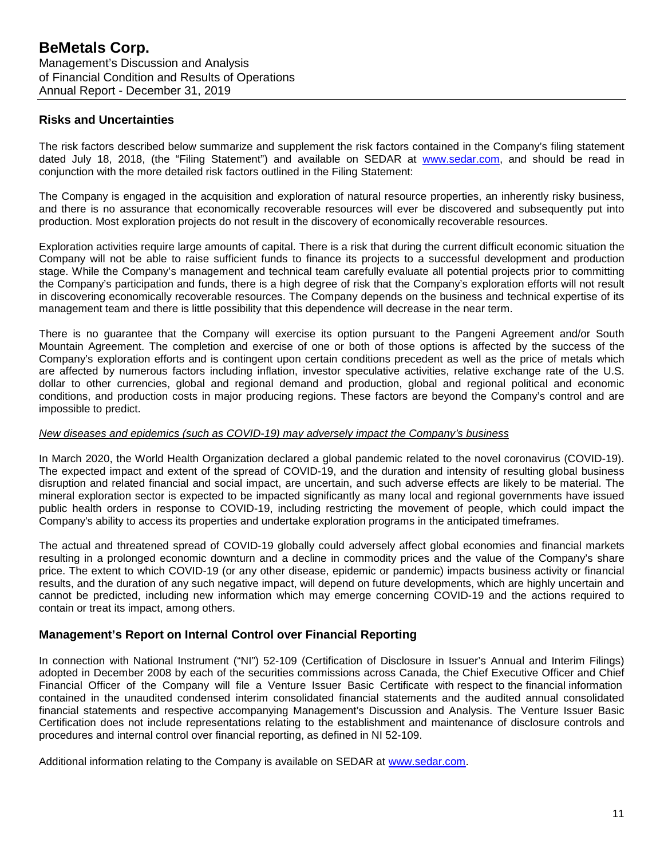# **Risks and Uncertainties**

The risk factors described below summarize and supplement the risk factors contained in the Company's filing statement dated July 18, 2018, (the "Filing Statement") and available on SEDAR at [www.sedar.com,](http://www.sedar.com/) and should be read in conjunction with the more detailed risk factors outlined in the Filing Statement:

The Company is engaged in the acquisition and exploration of natural resource properties, an inherently risky business, and there is no assurance that economically recoverable resources will ever be discovered and subsequently put into production. Most exploration projects do not result in the discovery of economically recoverable resources.

Exploration activities require large amounts of capital. There is a risk that during the current difficult economic situation the Company will not be able to raise sufficient funds to finance its projects to a successful development and production stage. While the Company's management and technical team carefully evaluate all potential projects prior to committing the Company's participation and funds, there is a high degree of risk that the Company's exploration efforts will not result in discovering economically recoverable resources. The Company depends on the business and technical expertise of its management team and there is little possibility that this dependence will decrease in the near term.

There is no guarantee that the Company will exercise its option pursuant to the Pangeni Agreement and/or South Mountain Agreement. The completion and exercise of one or both of those options is affected by the success of the Company's exploration efforts and is contingent upon certain conditions precedent as well as the price of metals which are affected by numerous factors including inflation, investor speculative activities, relative exchange rate of the U.S. dollar to other currencies, global and regional demand and production, global and regional political and economic conditions, and production costs in major producing regions. These factors are beyond the Company's control and are impossible to predict.

#### *New diseases and epidemics (such as COVID-19) may adversely impact the Company's business*

In March 2020, the World Health Organization declared a global pandemic related to the novel coronavirus (COVID-19). The expected impact and extent of the spread of COVID-19, and the duration and intensity of resulting global business disruption and related financial and social impact, are uncertain, and such adverse effects are likely to be material. The mineral exploration sector is expected to be impacted significantly as many local and regional governments have issued public health orders in response to COVID-19, including restricting the movement of people, which could impact the Company's ability to access its properties and undertake exploration programs in the anticipated timeframes.

The actual and threatened spread of COVID-19 globally could adversely affect global economies and financial markets resulting in a prolonged economic downturn and a decline in commodity prices and the value of the Company's share price. The extent to which COVID-19 (or any other disease, epidemic or pandemic) impacts business activity or financial results, and the duration of any such negative impact, will depend on future developments, which are highly uncertain and cannot be predicted, including new information which may emerge concerning COVID-19 and the actions required to contain or treat its impact, among others.

# **Management's Report on Internal Control over Financial Reporting**

In connection with National Instrument ("NI") 52-109 (Certification of Disclosure in Issuer's Annual and Interim Filings) adopted in December 2008 by each of the securities commissions across Canada, the Chief Executive Officer and Chief Financial Officer of the Company will file a Venture Issuer Basic Certificate with respect to the financial information contained in the unaudited condensed interim consolidated financial statements and the audited annual consolidated financial statements and respective accompanying Management's Discussion and Analysis. The Venture Issuer Basic Certification does not include representations relating to the establishment and maintenance of disclosure controls and procedures and internal control over financial reporting, as defined in NI 52-109.

Additional information relating to the Company is available on SEDAR at [www.sedar.com.](http://www.sedar.com/)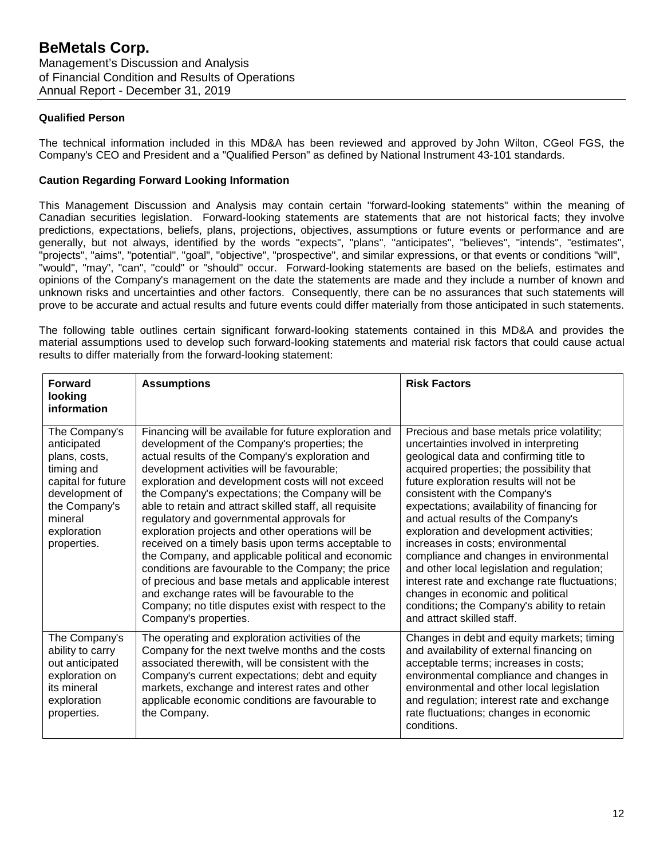### **Qualified Person**

The technical information included in this MD&A has been reviewed and approved by John Wilton, CGeol FGS, the Company's CEO and President and a "Qualified Person" as defined by National Instrument 43-101 standards.

### **Caution Regarding Forward Looking Information**

This Management Discussion and Analysis may contain certain "forward-looking statements" within the meaning of Canadian securities legislation. Forward-looking statements are statements that are not historical facts; they involve predictions, expectations, beliefs, plans, projections, objectives, assumptions or future events or performance and are generally, but not always, identified by the words "expects", "plans", "anticipates", "believes", "intends", "estimates", "projects", "aims", "potential", "goal", "objective", "prospective", and similar expressions, or that events or conditions "will", "would", "may", "can", "could" or "should" occur. Forward-looking statements are based on the beliefs, estimates and opinions of the Company's management on the date the statements are made and they include a number of known and unknown risks and uncertainties and other factors. Consequently, there can be no assurances that such statements will prove to be accurate and actual results and future events could differ materially from those anticipated in such statements.

The following table outlines certain significant forward-looking statements contained in this MD&A and provides the material assumptions used to develop such forward-looking statements and material risk factors that could cause actual results to differ materially from the forward-looking statement:

| <b>Forward</b><br>looking<br>information                                                                                                                      | <b>Assumptions</b>                                                                                                                                                                                                                                                                                                                                                                                                                                                                                                                                                                                                                                                                                                                                                                                                                       | <b>Risk Factors</b>                                                                                                                                                                                                                                                                                                                                                                                                                                                                                                                                                                                                                                                                        |
|---------------------------------------------------------------------------------------------------------------------------------------------------------------|------------------------------------------------------------------------------------------------------------------------------------------------------------------------------------------------------------------------------------------------------------------------------------------------------------------------------------------------------------------------------------------------------------------------------------------------------------------------------------------------------------------------------------------------------------------------------------------------------------------------------------------------------------------------------------------------------------------------------------------------------------------------------------------------------------------------------------------|--------------------------------------------------------------------------------------------------------------------------------------------------------------------------------------------------------------------------------------------------------------------------------------------------------------------------------------------------------------------------------------------------------------------------------------------------------------------------------------------------------------------------------------------------------------------------------------------------------------------------------------------------------------------------------------------|
| The Company's<br>anticipated<br>plans, costs,<br>timing and<br>capital for future<br>development of<br>the Company's<br>mineral<br>exploration<br>properties. | Financing will be available for future exploration and<br>development of the Company's properties; the<br>actual results of the Company's exploration and<br>development activities will be favourable;<br>exploration and development costs will not exceed<br>the Company's expectations; the Company will be<br>able to retain and attract skilled staff, all requisite<br>regulatory and governmental approvals for<br>exploration projects and other operations will be<br>received on a timely basis upon terms acceptable to<br>the Company, and applicable political and economic<br>conditions are favourable to the Company; the price<br>of precious and base metals and applicable interest<br>and exchange rates will be favourable to the<br>Company; no title disputes exist with respect to the<br>Company's properties. | Precious and base metals price volatility;<br>uncertainties involved in interpreting<br>geological data and confirming title to<br>acquired properties; the possibility that<br>future exploration results will not be<br>consistent with the Company's<br>expectations; availability of financing for<br>and actual results of the Company's<br>exploration and development activities;<br>increases in costs; environmental<br>compliance and changes in environmental<br>and other local legislation and regulation;<br>interest rate and exchange rate fluctuations;<br>changes in economic and political<br>conditions; the Company's ability to retain<br>and attract skilled staff. |
| The Company's<br>ability to carry<br>out anticipated<br>exploration on<br>its mineral<br>exploration<br>properties.                                           | The operating and exploration activities of the<br>Company for the next twelve months and the costs<br>associated therewith, will be consistent with the<br>Company's current expectations; debt and equity<br>markets, exchange and interest rates and other<br>applicable economic conditions are favourable to<br>the Company.                                                                                                                                                                                                                                                                                                                                                                                                                                                                                                        | Changes in debt and equity markets; timing<br>and availability of external financing on<br>acceptable terms; increases in costs;<br>environmental compliance and changes in<br>environmental and other local legislation<br>and regulation; interest rate and exchange<br>rate fluctuations; changes in economic<br>conditions.                                                                                                                                                                                                                                                                                                                                                            |